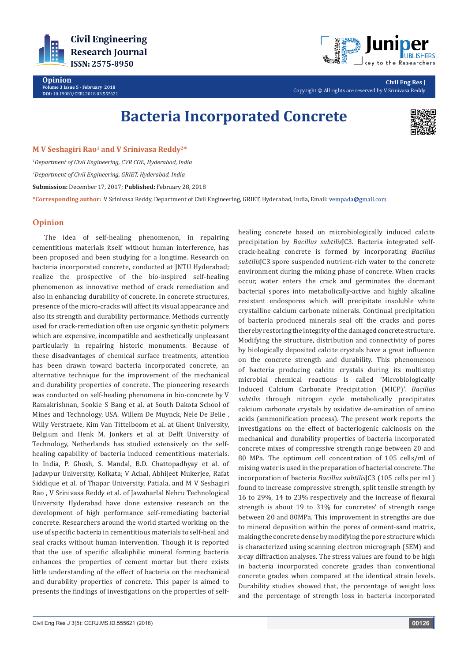

**Opinion Volume 3 Issue 5 - February 2018 DOI:** [10.19080/CERJ.2018.03.555621](http://dx.doi.org/10.19080/CERJ.2018.03.555621)



**Civil Eng Res J** Copyright © All rights are reserved by V Srinivasa Reddy

# **Bacteria Incorporated Concrete**



### **M V Seshagiri Rao1 and V Srinivasa Reddy2\***

*1 Department of Civil Engineering, CVR COE, Hyderabad, India 2 Department of Civil Engineering, GRIET, Hyderabad, India* **Submission:** December 17, 2017; **Published:** February 28, 2018

**\*Corresponding author:** V Srinivasa Reddy, Department of Civil Engineering, GRIET, Hyderabad, India, Email:

## **Opinion**

The idea of self-healing phenomenon, in repairing cementitious materials itself without human interference, has been proposed and been studying for a longtime. Research on bacteria incorporated concrete, conducted at JNTU Hyderabad; realize the prospective of the bio-inspired self-healing phenomenon as innovative method of crack remediation and also in enhancing durability of concrete. In concrete structures, presence of the micro-cracks will affect its visual appearance and also its strength and durability performance. Methods currently used for crack-remediation often use organic synthetic polymers which are expensive, incompatible and aesthetically unpleasant particularly in repairing historic monuments. Because of these disadvantages of chemical surface treatments, attention has been drawn toward bacteria incorporated concrete, an alternative technique for the improvement of the mechanical and durability properties of concrete. The pioneering research was conducted on self-healing phenomena in bio-concrete by V Ramakrishnan, Sookie S Bang et al. at South Dakota School of Mines and Technology, USA. Willem De Muynck, Nele De Belie , Willy Verstraete, Kim Van Tittelboom et al. at Ghent University, Belgium and Henk M. Jonkers et al. at Delft University of Technology, Netherlands has studied extensively on the selfhealing capability of bacteria induced cementitious materials. In India, P. Ghosh, S. Mandal, B.D. Chattopadhyay et al. of Jadavpur University, Kolkata; V Achal, Abhijeet Mukerjee, Rafat Siddique et al. of Thapar University, Patiala, and M V Seshagiri Rao , V Srinivasa Reddy et al. of Jawaharlal Nehru Technological University Hyderabad have done extensive research on the development of high performance self-remediating bacterial concrete. Researchers around the world started working on the use of specific bacteria in cementitious materials to self-heal and seal cracks without human intervention. Though it is reported that the use of specific alkaliphilic mineral forming bacteria enhances the properties of cement mortar but there exists little understanding of the effect of bacteria on the mechanical and durability properties of concrete. This paper is aimed to presents the findings of investigations on the properties of self-

crack-healing concrete is formed by incorporating *Bacillus subtilis*JC3 spore suspended nutrient-rich water to the concrete environment during the mixing phase of concrete. When cracks occur, water enters the crack and germinates the dormant bacterial spores into metabolically-active and highly alkaline resistant endospores which will precipitate insoluble white crystalline calcium carbonate minerals. Continual precipitation of bacteria produced minerals seal off the cracks and pores thereby restoring the integrity of the damaged concrete structure. Modifying the structure, distribution and connectivity of pores by biologically deposited calcite crystals have a great influence on the concrete strength and durability. This phenomenon of bacteria producing calcite crystals during its multistep microbial chemical reactions is called 'Microbiologically Induced Calcium Carbonate Precipitation (MICP)'. *Bacillus subtilis* through nitrogen cycle metabolically precipitates calcium carbonate crystals by oxidative de-amination of amino acids (ammonification process). The present work reports the investigations on the effect of bacteriogenic calcinosis on the mechanical and durability properties of bacteria incorporated concrete mixes of compressive strength range between 20 and 80 MPa. The optimum cell concentration of 105 cells/ml of mixing water is used in the preparation of bacterial concrete. The incorporation of bacteria *Bacillus subtilis*JC3 (105 cells per ml ) found to increase compressive strength, split tensile strength by 16 to 29%, 14 to 23% respectively and the increase of flexural strength is about 19 to 31% for concretes' of strength range between 20 and 80MPa. This improvement in strengths are due to mineral deposition within the pores of cement-sand matrix, making the concrete dense by modifying the pore structure which is characterized using scanning electron micrograph (SEM) and x-ray diffraction analyses. The stress values are found to be high in bacteria incorporated concrete grades than conventional concrete grades when compared at the identical strain levels. Durability studies showed that, the percentage of weight loss and the percentage of strength loss in bacteria incorporated

healing concrete based on microbiologically induced calcite precipitation by *Bacillus subtilis*JC3. Bacteria integrated self-